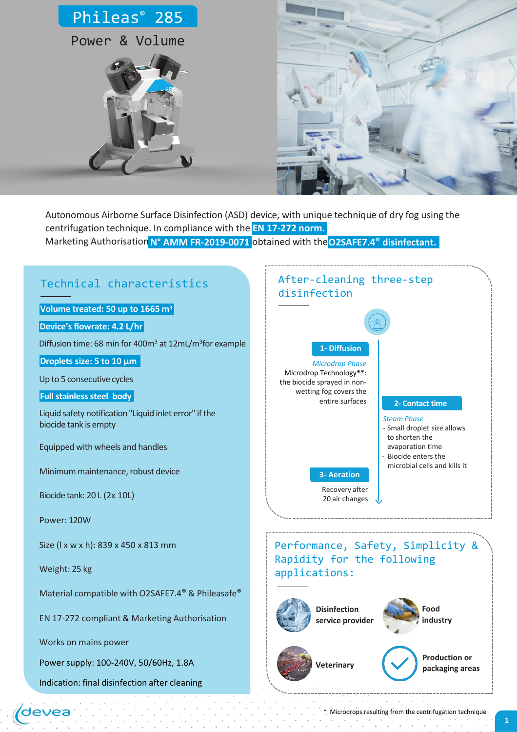



Marketing Authorisation **N° AMM FR-2019-0071** obtained with the**O2SAFE7.4® disinfectant.** Autonomous Airborne Surface Disinfection (ASD) device, with unique technique of dry fog using the centrifugation technique. In compliance with the **EN 17-272 norm.**



\* Microdrops resulting from the centrifugation technique